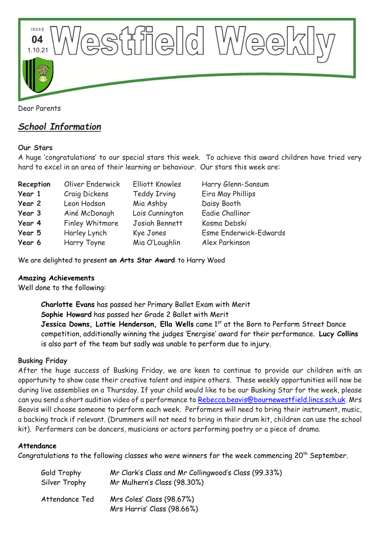

# *School Information*

## **Our Stars**

A huge 'congratulations' to our special stars this week. To achieve this award children have tried very hard to excel in an area of their learning or behaviour. Our stars this week are:

| Reception | Oliver Enderwick | <b>Elliott Knowles</b> | Harry Glenn-Sansum            |
|-----------|------------------|------------------------|-------------------------------|
| Year 1    | Craig Dickens    | <b>Teddy Irving</b>    | Eira May Phillips             |
| Year 2    | Leon Hodson      | Mia Ashby              | Daisy Booth                   |
| Year 3    | Ainé McDonagh    | Lois Cunnington        | Eadie Challinor               |
| Year 4    | Finley Whitmore  | Josiah Bennett         | Kosma Debski                  |
| Year 5    | Harley Lynch     | Kye Jones              | <b>Esme Enderwick-Edwards</b> |
| Year 6    | Harry Toyne      | Mia O'Loughlin         | Alex Parkinson                |

We are delighted to present **an Arts Star Award** to Harry Wood

## **Amazing Achievements**

Well done to the following:

**Charlotte Evans** has passed her Primary Ballet Exam with Merit **Sophie Howard** has passed her Grade 2 Ballet with Merit Jessica Downs, Lottie Henderson, Ella Wells came 1<sup>st</sup> at the Born to Perform Street Dance competition, additionally winning the judges 'Energise' award for their performance. **Lucy Collins** is also part of the team but sadly was unable to perform due to injury.

## **Busking Friday**

After the huge success of Busking Friday, we are keen to continue to provide our children with an opportunity to show case their creative talent and inspire others. These weekly opportunities will now be during live assemblies on a Thursday. If your child would like to be our Busking Star for the week, please can you send a short audition video of a performance to [Rebecca.beavis@bournewestfield.lincs.sch.uk.](mailto:Rebecca.beavis@bournewestfield.lincs.sch.uk) Mrs Beavis will choose someone to perform each week. Performers will need to bring their instrument, music, a backing track if relevant. (Drummers will not need to bring in their drum kit, children can use the school kit). Performers can be dancers, musicians or actors performing poetry or a piece of drama.

## **Attendance**

Congratulations to the following classes who were winners for the week commencing  $20<sup>th</sup>$  September.

| Gold Trophy    | Mr Clark's Class and Mr Collingwood's Class (99.33%)    |
|----------------|---------------------------------------------------------|
| Silver Trophy  | Mr Mulhern's Class (98.30%)                             |
| Attendance Ted | Mrs Coles' Class (98.67%)<br>Mrs Harris' Class (98.66%) |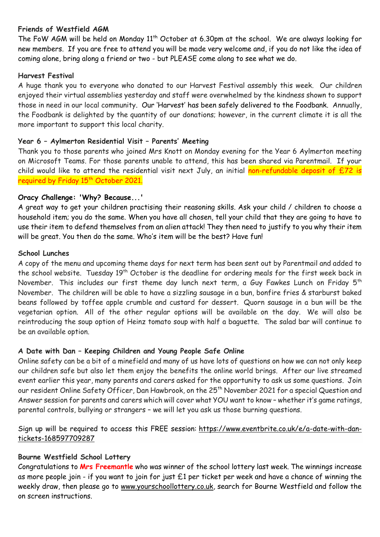#### **Friends of Westfield AGM**

The FoW AGM will be held on Monday  $11^{th}$  October at 6.30pm at the school. We are always looking for new members. If you are free to attend you will be made very welcome and, if you do not like the idea of coming alone, bring along a friend or two - but PLEASE come along to see what we do.

#### **Harvest Festival**

A huge thank you to everyone who donated to our Harvest Festival assembly this week. Our children enjoyed their virtual assemblies yesterday and staff were overwhelmed by the kindness shown to support those in need in our local community. Our 'Harvest' has been safely delivered to the Foodbank. Annually, the Foodbank is delighted by the quantity of our donations; however, in the current climate it is all the more important to support this local charity.

#### **Year 6 – Aylmerton Residential Visit – Parents' Meeting**

Thank you to those parents who joined Mrs Knott on Monday evening for the Year 6 Aylmerton meeting on Microsoft Teams. For those parents unable to attend, this has been shared via Parentmail. If your child would like to attend the residential visit next July, an initial non-refundable deposit of  $E72$  is required by Friday 15<sup>th</sup> October 2021.

#### **Oracy Challenge: 'Why? Because...'**

A great way to get your children practising their reasoning skills. Ask your child / children to choose a household item; you do the same. When you have all chosen, tell your child that they are going to have to use their item to defend themselves from an alien attack! They then need to justify to you why their item will be great. You then do the same. Who's item will be the best? Have fun!

#### **School Lunches**

A copy of the menu and upcoming theme days for next term has been sent out by Parentmail and added to the school website. Tuesday 19<sup>th</sup> October is the deadline for ordering meals for the first week back in November. This includes our first theme day lunch next term, a Guy Fawkes Lunch on Friday  $5<sup>th</sup>$ November. The children will be able to have a sizzling sausage in a bun, bonfire fries & starburst baked beans followed by toffee apple crumble and custard for dessert. Quorn sausage in a bun will be the vegetarian option. All of the other regular options will be available on the day. We will also be reintroducing the soup option of Heinz tomato soup with half a baguette. The salad bar will continue to be an available option.

## **A Date with Dan – Keeping Children and Young People Safe Online**

Online safety can be a bit of a minefield and many of us have lots of questions on how we can not only keep our children safe but also let them enjoy the benefits the online world brings. After our live streamed event earlier this year, many parents and carers asked for the opportunity to ask us some questions. Join our resident Online Safety Officer, Dan Hawbrook, on the 25<sup>th</sup> November 2021 for a special Question and Answer session for parents and carers which will cover what YOU want to know – whether it's game ratings, parental controls, bullying or strangers – we will let you ask us those burning questions.

Sign up will be required to access this FREE session: [https://www.eventbrite.co.uk/e/a-date-with-dan](https://gbr01.safelinks.protection.outlook.com/?url=https%3A%2F%2Fwww.eventbrite.co.uk%2Fe%2Fa-date-with-dan-tickets-168597709287&data=04%7C01%7CEloise.Malam%40lincolnshire.gov.uk%7Cf8349c6f746b4000269708d97cfb4698%7Cb4e05b92f8ce46b59b2499ba5c11e5e9%7C0%7C0%7C637678240968551895%7CUnknown%7CTWFpbGZsb3d8eyJWIjoiMC4wLjAwMDAiLCJQIjoiV2luMzIiLCJBTiI6Ik1haWwiLCJXVCI6Mn0%3D%7C1000&sdata=eoiVc86d5orSYHQoC0rP5bs3Qf5erGDhin5qMwmX77g%3D&reserved=0)[tickets-168597709287](https://gbr01.safelinks.protection.outlook.com/?url=https%3A%2F%2Fwww.eventbrite.co.uk%2Fe%2Fa-date-with-dan-tickets-168597709287&data=04%7C01%7CEloise.Malam%40lincolnshire.gov.uk%7Cf8349c6f746b4000269708d97cfb4698%7Cb4e05b92f8ce46b59b2499ba5c11e5e9%7C0%7C0%7C637678240968551895%7CUnknown%7CTWFpbGZsb3d8eyJWIjoiMC4wLjAwMDAiLCJQIjoiV2luMzIiLCJBTiI6Ik1haWwiLCJXVCI6Mn0%3D%7C1000&sdata=eoiVc86d5orSYHQoC0rP5bs3Qf5erGDhin5qMwmX77g%3D&reserved=0)

## **Bourne Westfield School Lottery**

Congratulations to **Mrs Freemantle** who was winner of the school lottery last week. The winnings increase as more people join - if you want to join for just £1 per ticket per week and have a chance of winning the weekly draw, then please go to [www.yourschoollottery.co.uk,](http://www.yourschoollottery.co.uk/) search for Bourne Westfield and follow the on screen instructions.